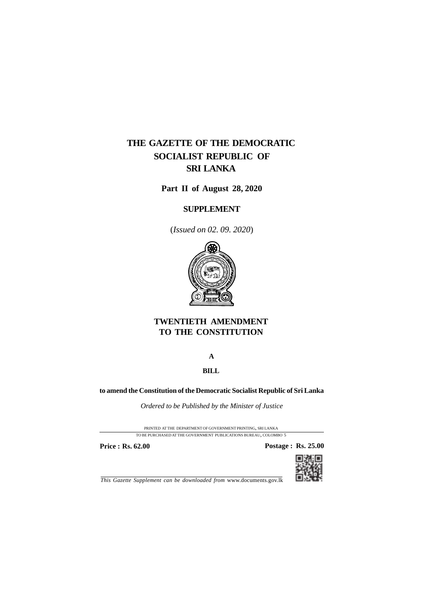# **THE GAZETTE OF THE DEMOCRATIC SOCIALIST REPUBLIC OF SRI LANKA**

**Part II of August 28, 2020**

## **SUPPLEMENT**

(*Issued on 02. 09. 2020*)



# **TWENTIETH AMENDMENT TO THE CONSTITUTION**

### **A**

## **BILL**

### **to amend the Constitution of the Democratic Socialist Republic of Sri Lanka**

*Ordered to be Published by the Minister of Justice*

PRINTED AT THE DEPARTMENT OF GOVERNMENT PRINTING, SRI LANKA

TO BE PURCHASED AT THE GOVERNMENT PUBLICATIONS BUREAU, COLOMBO 5

**Price : Rs. 62.00 Postage : Rs. 25.00** 



*This Gazette Supplement can be downloaded from* www.documents.gov.lk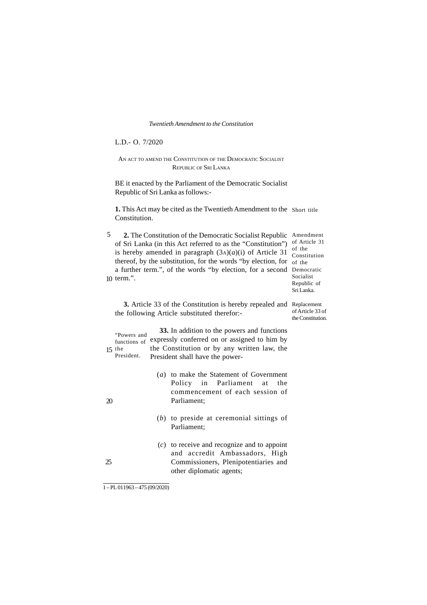#### *Twentieth Amendment to the Constitution*

L.D.- O. 7/2020

#### AN ACT TO AMEND THE CONSTITUTION OF THE DEMOCRATIC SOCIALIST REPUBLIC OF SRI LANKA

BE it enacted by the Parliament of the Democratic Socialist Republic of Sri Lanka as follows:-

**1.** This Act may be cited as the Twentieth Amendment to the Short title Constitution.

2. The Constitution of the Democratic Socialist Republic Amendment of Sri Lanka (in this Act referred to as the "Constitution") of Article 31 is hereby amended in paragraph  $(3A)(a)(i)$  of Article 31 thereof, by the substitution, for the words "by election, for of the a further term.", of the words "by election, for a second Democratic 10 term.". 5

of the Constitution Socialist Republic of Sri Lanka.

of Article 33 of the Constitution.

**3.** Article 33 of the Constitution is hereby repealed and Replacement the following Article substituted therefor:-

**33.** In addition to the powers and functions "Powers and even address to the powers and functions of expressly conferred on or assigned to him by the Constitution or by any written law, the President shall have the power functions of  $15$  the President.

- (*a*) to make the Statement of Government Policy in Parliament at the commencement of each session of Parliament;
- (*b*) to preside at ceremonial sittings of Parliament;
- (*c*) to receive and recognize and to appoint and accredit Ambassadors, High Commissioners, Plenipotentiaries and other diplomatic agents;

20

25

1 – PL 011963 – 475 (09/2020)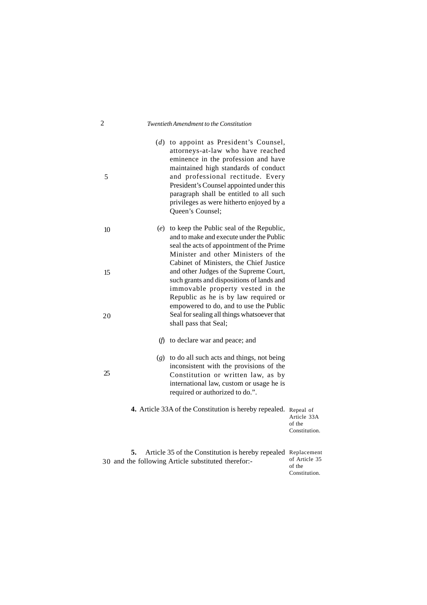### 2 *Twentieth Amendment to the Constitution*

| 5  |     | (d) to appoint as President's Counsel,<br>attorneys-at-law who have reached<br>eminence in the profession and have<br>maintained high standards of conduct<br>and professional rectitude. Every<br>President's Counsel appointed under this<br>paragraph shall be entitled to all such<br>privileges as were hitherto enjoyed by a<br>Queen's Counsel; |                                        |
|----|-----|--------------------------------------------------------------------------------------------------------------------------------------------------------------------------------------------------------------------------------------------------------------------------------------------------------------------------------------------------------|----------------------------------------|
| 10 |     | (e) to keep the Public seal of the Republic,<br>and to make and execute under the Public<br>seal the acts of appointment of the Prime<br>Minister and other Ministers of the<br>Cabinet of Ministers, the Chief Justice                                                                                                                                |                                        |
| 15 |     | and other Judges of the Supreme Court,<br>such grants and dispositions of lands and<br>immovable property vested in the<br>Republic as he is by law required or<br>empowered to do, and to use the Public                                                                                                                                              |                                        |
| 20 | (f) | Seal for sealing all things whatsoever that<br>shall pass that Seal;<br>to declare war and peace; and                                                                                                                                                                                                                                                  |                                        |
| 25 |     | $(g)$ to do all such acts and things, not being<br>inconsistent with the provisions of the<br>Constitution or written law, as by<br>international law, custom or usage he is<br>required or authorized to do.".                                                                                                                                        |                                        |
|    |     | 4. Article 33A of the Constitution is hereby repealed. Repeal of                                                                                                                                                                                                                                                                                       | Article 33A<br>of the<br>Constitution. |
| 5. |     | Article 35 of the Constitution is hereby repealed Replacement<br>30 and the following Article substituted therefor:-                                                                                                                                                                                                                                   | of Article 35                          |

of the Constitution.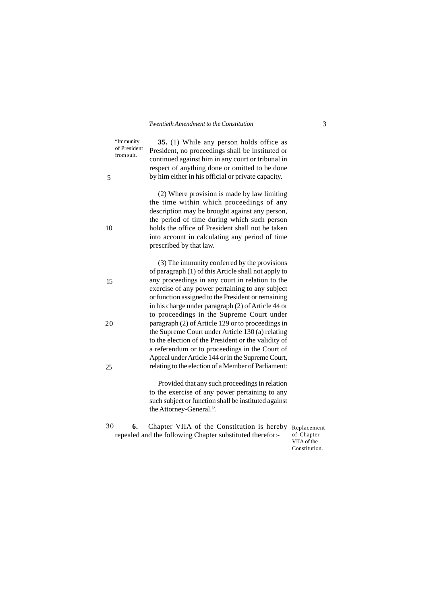"Immunity of President from suit.

5

10

15

20

25

**35.** (1) While any person holds office as President, no proceedings shall be instituted or continued against him in any court or tribunal in respect of anything done or omitted to be done by him either in his official or private capacity.

(2) Where provision is made by law limiting the time within which proceedings of any description may be brought against any person, the period of time during which such person holds the office of President shall not be taken into account in calculating any period of time prescribed by that law.

(3) The immunity conferred by the provisions of paragraph (1) of this Article shall not apply to any proceedings in any court in relation to the exercise of any power pertaining to any subject or function assigned to the President or remaining in his charge under paragraph (2) of Article 44 or to proceedings in the Supreme Court under paragraph (2) of Article 129 or to proceedings in the Supreme Court under Article 130 (a) relating to the election of the President or the validity of a referendum or to proceedings in the Court of Appeal under Article 144 or in the Supreme Court, relating to the election of a Member of Parliament:

> Provided that any such proceedings in relation to the exercise of any power pertaining to any such subject or function shall be instituted against the Attorney-General.".

**6.** Chapter VIIA of the Constitution is hereby repealed and the following Chapter substituted therefor:- 30

Replacement of Chapter VIIA of the Constitution.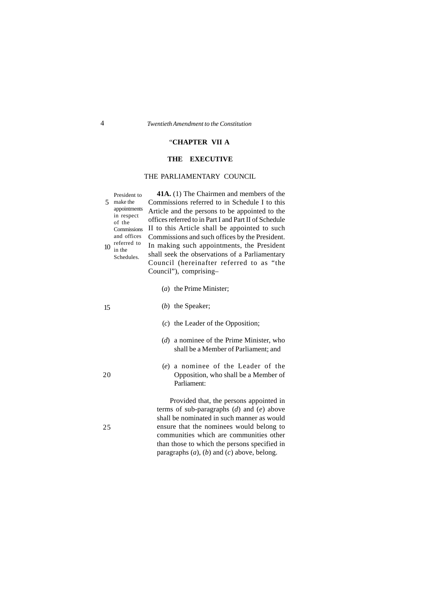#### "**CHAPTER VII A**

#### **THE EXECUTIVE**

#### THE PARLIAMENTARY COUNCIL

**41A.** (1) The Chairmen and members of the Commissions referred to in Schedule I to this Article and the persons to be appointed to the offices referred to in Part I and Part II of Schedule II to this Article shall be appointed to such Commissions and such offices by the President. In making such appointments, the President shall seek the observations of a Parliamentary Council (hereinafter referred to as "the Council"), comprising– President to make the 5 appointments in respect Commissions and offices referred to Schedules.

- (*a*) the Prime Minister;
- (*b*) the Speaker;
- (*c*) the Leader of the Opposition;
- (*d*) a nominee of the Prime Minister, who shall be a Member of Parliament; and
- (*e*) a nominee of the Leader of the Opposition, who shall be a Member of Parliament:

Provided that, the persons appointed in terms of sub-paragraphs (*d*) and (*e*) above shall be nominated in such manner as would ensure that the nominees would belong to communities which are communities other than those to which the persons specified in paragraphs (*a*), (*b*) and (*c*) above, belong.

15

of the

 $10$  in the

- 
- 

25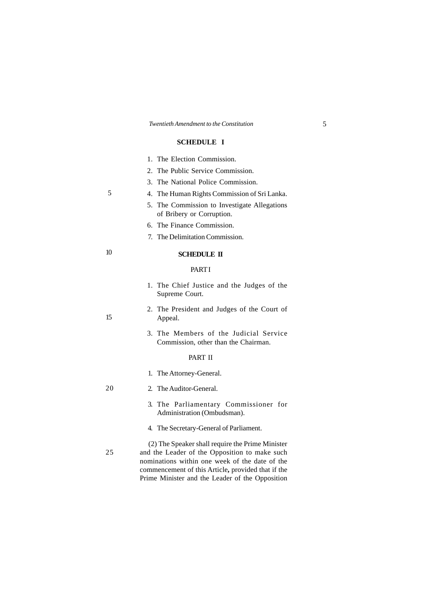#### **SCHEDULE I**

| 1. The Election Commission. |
|-----------------------------|
|                             |

- 2. The Public Service Commission.
- 3. The National Police Commission.
- 4. The Human Rights Commission of Sri Lanka.
- 5. The Commission to Investigate Allegations of Bribery or Corruption.
- 6. The Finance Commission.
- 7. The Delimitation Commission.

#### **SCHEDULE II**

#### PART I

- 1. The Chief Justice and the Judges of the Supreme Court.
- 2. The President and Judges of the Court of Appeal.
- 3. The Members of the Judicial Service Commission, other than the Chairman.

#### PART II

1. The Attorney-General.

#### 2. The Auditor-General. 20

- 3. The Parliamentary Commissioner for Administration (Ombudsman).
- 4. The Secretary-General of Parliament.
- (2) The Speaker shall require the Prime Minister and the Leader of the Opposition to make such nominations within one week of the date of the commencement of this Article**,** provided that if the Prime Minister and the Leader of the Opposition 25

15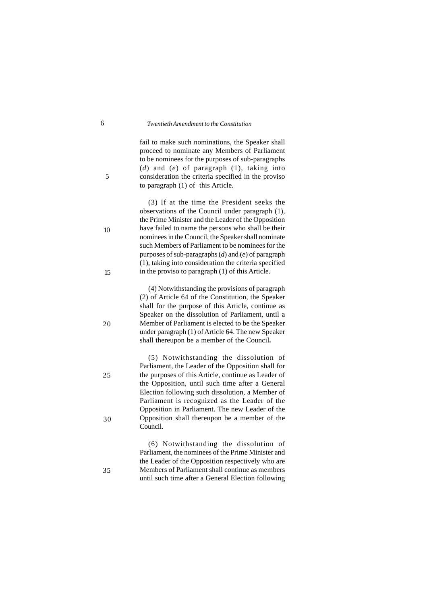fail to make such nominations, the Speaker shall proceed to nominate any Members of Parliament to be nominees for the purposes of sub-paragraphs (*d*) and (*e*) of paragraph (1), taking into consideration the criteria specified in the proviso to paragraph (1) of this Article.

(3) If at the time the President seeks the observations of the Council under paragraph (1), the Prime Minister and the Leader of the Opposition have failed to name the persons who shall be their nominees in the Council, the Speaker shall nominate such Members of Parliament to be nominees for the purposes of sub-paragraphs (*d*) and (*e*) of paragraph (1), taking into consideration the criteria specified in the proviso to paragraph (1) of this Article.

(4) Notwithstanding the provisions of paragraph (2) of Article 64 of the Constitution, the Speaker shall for the purpose of this Article, continue as Speaker on the dissolution of Parliament, until a Member of Parliament is elected to be the Speaker under paragraph (1) of Article 64. The new Speaker shall thereupon be a member of the Council**.**

(5) Notwithstanding the dissolution of Parliament, the Leader of the Opposition shall for the purposes of this Article, continue as Leader of the Opposition, until such time after a General Election following such dissolution, a Member of Parliament is recognized as the Leader of the Opposition in Parliament. The new Leader of the Opposition shall thereupon be a member of the Council.

(6) Notwithstanding the dissolution of Parliament, the nominees of the Prime Minister and the Leader of the Opposition respectively who are Members of Parliament shall continue as members until such time after a General Election following

10

15

5

20

25

30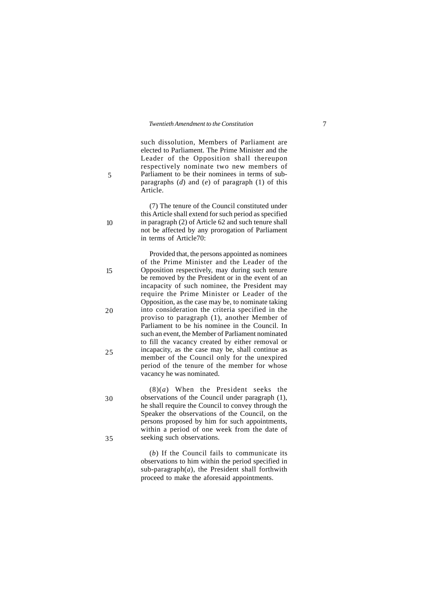5

10

15

20

25

30

35

such dissolution, Members of Parliament are elected to Parliament. The Prime Minister and the Leader of the Opposition shall thereupon respectively nominate two new members of Parliament to be their nominees in terms of subparagraphs (*d*) and (*e*) of paragraph (1) of this Article.

(7) The tenure of the Council constituted under this Article shall extend for such period as specified in paragraph (2) of Article 62 and such tenure shall not be affected by any prorogation of Parliament in terms of Article70:

Provided that, the persons appointed as nominees of the Prime Minister and the Leader of the Opposition respectively, may during such tenure be removed by the President or in the event of an incapacity of such nominee, the President may require the Prime Minister or Leader of the Opposition, as the case may be, to nominate taking into consideration the criteria specified in the proviso to paragraph (1), another Member of Parliament to be his nominee in the Council. In such an event, the Member of Parliament nominated to fill the vacancy created by either removal or incapacity, as the case may be, shall continue as member of the Council only for the unexpired period of the tenure of the member for whose vacancy he was nominated.

(8)(*a*) When the President seeks the observations of the Council under paragraph (1), he shall require the Council to convey through the Speaker the observations of the Council, on the persons proposed by him for such appointments, within a period of one week from the date of seeking such observations.

(*b*) If the Council fails to communicate its observations to him within the period specified in sub-paragraph $(a)$ , the President shall forthwith proceed to make the aforesaid appointments.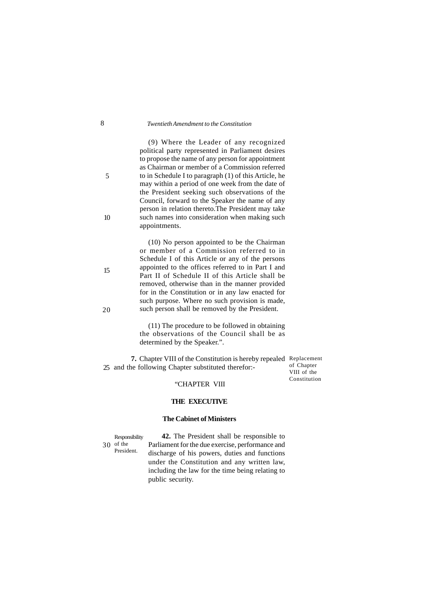#### 8 *Twentieth Amendment to the Constitution*

(9) Where the Leader of any recognized political party represented in Parliament desires to propose the name of any person for appointment as Chairman or member of a Commission referred to in Schedule I to paragraph (1) of this Article, he may within a period of one week from the date of the President seeking such observations of the Council, forward to the Speaker the name of any person in relation thereto.The President may take such names into consideration when making such appointments.

(10) No person appointed to be the Chairman or member of a Commission referred to in Schedule I of this Article or any of the persons appointed to the offices referred to in Part I and Part II of Schedule II of this Article shall be removed, otherwise than in the manner provided for in the Constitution or in any law enacted for such purpose. Where no such provision is made, such person shall be removed by the President.

(11) The procedure to be followed in obtaining the observations of the Council shall be as determined by the Speaker.".

**7.** Chapter VIII of the Constitution is hereby repealed Replacement 25 and the following Chapter substituted therefor:-

of Chapter VIII of the Constitution

#### "CHAPTER VIII

#### **THE EXECUTIVE**

#### **The Cabinet of Ministers**

**Responsibility** of the 30President.

**42.** The President shall be responsible to Parliament for the due exercise, performance and discharge of his powers, duties and functions under the Constitution and any written law, including the law for the time being relating to public security.

5

10

20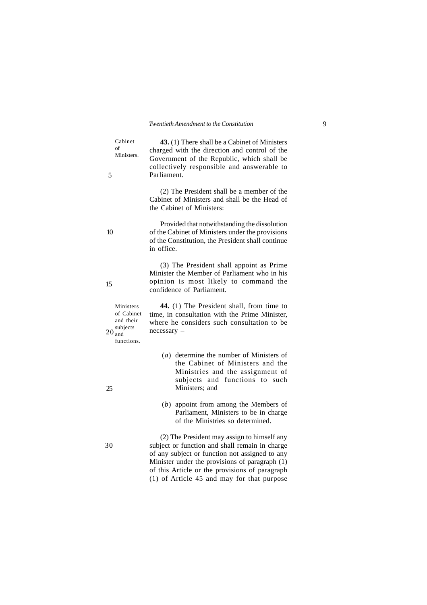**43.** (1) There shall be a Cabinet of Ministers charged with the direction and control of the Government of the Republic, which shall be collectively responsible and answerable to Parliament. Cabinet Ministers.

> (2) The President shall be a member of the Cabinet of Ministers and shall be the Head of the Cabinet of Ministers:

> Provided that notwithstanding the dissolution of the Cabinet of Ministers under the provisions of the Constitution, the President shall continue in office.

> (3) The President shall appoint as Prime Minister the Member of Parliament who in his opinion is most likely to command the confidence of Parliament.

> **44.** (1) The President shall, from time to time, in consultation with the Prime Minister, where he considers such consultation to be necessary –

- (*a*) determine the number of Ministers of the Cabinet of Ministers and the Ministries and the assignment of subjects and functions to such Ministers; and
- (*b*) appoint from among the Members of Parliament, Ministers to be in charge of the Ministries so determined.

(2) The President may assign to himself any subject or function and shall remain in charge of any subject or function not assigned to any Minister under the provisions of paragraph (1) of this Article or the provisions of paragraph (1) of Article 45 and may for that purpose

of Cabinet and their subjects  $20 \text{ and}$ functions.

Ministers

of

5

10

15

25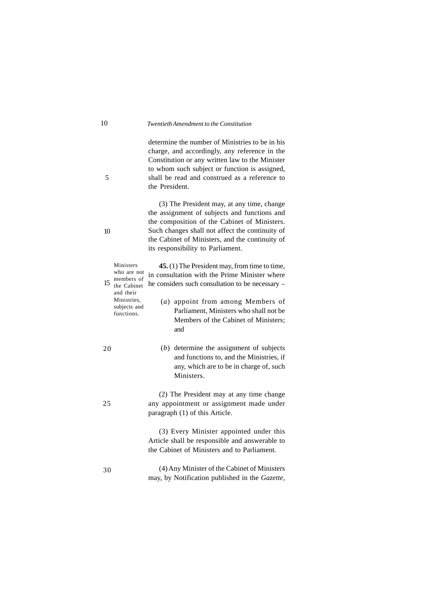determine the number of Ministries to be in his charge, and accordingly, any reference in the Constitution or any written law to the Minister to whom such subject or function is assigned, shall be read and construed as a reference to the President.

(3) The President may, at any time, change the assignment of subjects and functions and the composition of the Cabinet of Ministers. Such changes shall not affect the continuity of the Cabinet of Ministers, and the continuity of its responsibility to Parliament.

**45.** (1) The President may, from time to time, in consultation with the Prime Minister where he considers such consultation to be necessary – (*a*) appoint from among Members of Parliament, Ministers who shall not be Members of the Cabinet of Ministers; and (*b*) determine the assignment of subjects and functions to, and the Ministries, if any, which are to be in charge of, such Ministers. (2) The President may at any time change any appointment or assignment made under paragraph (1) of this Article. (3) Every Minister appointed under this Article shall be responsible and answerable to the Cabinet of Ministers and to Parliament. (4) Any Minister of the Cabinet of Ministers Ministers who are not 15 members of<br>the Cabinet the Cabinet and their Ministries, subjects and functions. 20 25 30

may, by Notification published in the *Gazette*,

10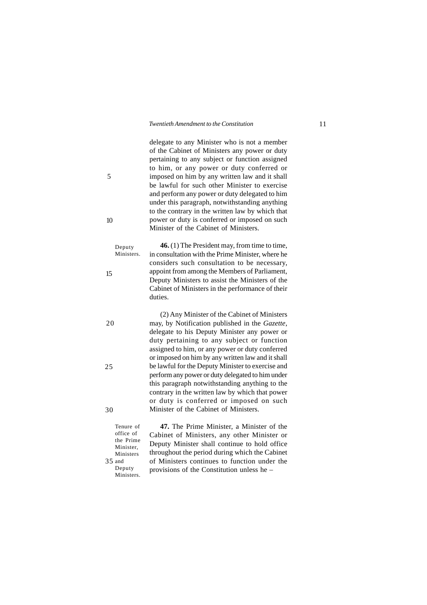delegate to any Minister who is not a member of the Cabinet of Ministers any power or duty pertaining to any subject or function assigned to him, or any power or duty conferred or imposed on him by any written law and it shall be lawful for such other Minister to exercise and perform any power or duty delegated to him under this paragraph, notwithstanding anything to the contrary in the written law by which that power or duty is conferred or imposed on such Minister of the Cabinet of Ministers.

**46.** (1) The President may, from time to time, in consultation with the Prime Minister, where he considers such consultation to be necessary, appoint from among the Members of Parliament, Deputy Ministers to assist the Ministers of the Cabinet of Ministers in the performance of their duties. Deputy Ministers.

> (2) Any Minister of the Cabinet of Ministers may, by Notification published in the *Gazette*, delegate to his Deputy Minister any power or duty pertaining to any subject or function assigned to him, or any power or duty conferred or imposed on him by any written law and it shall be lawful for the Deputy Minister to exercise and perform any power or duty delegated to him under this paragraph notwithstanding anything to the contrary in the written law by which that power or duty is conferred or imposed on such Minister of the Cabinet of Ministers.

Tenure of office of the Prime Minister, Ministers  $35$  and Deputy Ministers.

**47.** The Prime Minister, a Minister of the Cabinet of Ministers, any other Minister or Deputy Minister shall continue to hold office throughout the period during which the Cabinet of Ministers continues to function under the provisions of the Constitution unless he –

10

5

15

20

25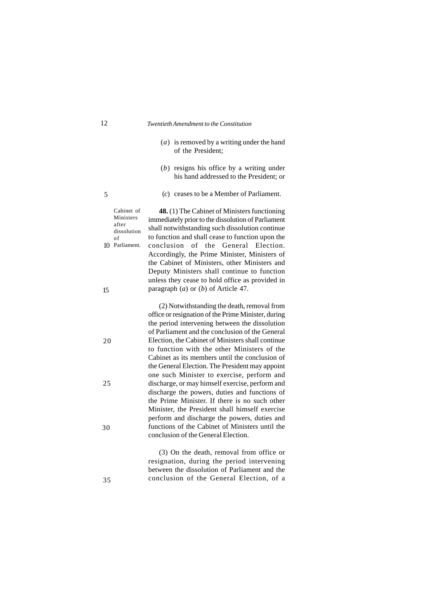- (*a*) is removed by a writing under the hand of the President;
- (*b*) resigns his office by a writing under his hand addressed to the President; or
- (*c*) ceases to be a Member of Parliament.

**48.** (1) The Cabinet of Ministers functioning immediately prior to the dissolution of Parliament shall notwithstanding such dissolution continue to function and shall cease to function upon the conclusion of the General Election. Accordingly, the Prime Minister, Ministers of the Cabinet of Ministers, other Ministers and Deputy Ministers shall continue to function unless they cease to hold office as provided in paragraph (*a*) or (*b*) of Article 47. Cabinet of Ministers

> (2) Notwithstanding the death, removal from office or resignation of the Prime Minister, during the period intervening between the dissolution of Parliament and the conclusion of the General Election, the Cabinet of Ministers shall continue to function with the other Ministers of the Cabinet as its members until the conclusion of the General Election. The President may appoint one such Minister to exercise, perform and discharge, or may himself exercise, perform and discharge the powers, duties and functions of the Prime Minister. If there is no such other Minister, the President shall himself exercise perform and discharge the powers, duties and functions of the Cabinet of Ministers until the conclusion of the General Election.

(3) On the death, removal from office or resignation, during the period intervening between the dissolution of Parliament and the conclusion of the General Election, of a

5

after dissolution of 10 Parliament.

| ٠ |               |
|---|---------------|
|   | ۰.<br>I<br>۰. |
|   |               |

25

20

30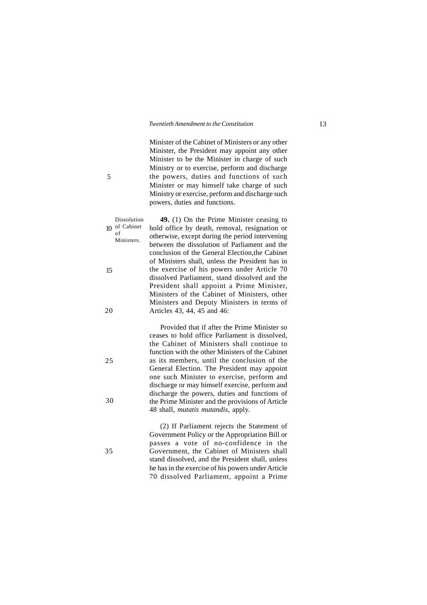Minister of the Cabinet of Ministers or any other Minister, the President may appoint any other Minister to be the Minister in charge of such Ministry or to exercise, perform and discharge the powers, duties and functions of such Minister or may himself take charge of such Ministry or exercise, perform and discharge such powers, duties and functions.

**49.** (1) On the Prime Minister ceasing to hold office by death, removal, resignation or otherwise, except during the period intervening between the dissolution of Parliament and the conclusion of the General Election,the Cabinet of Ministers shall, unless the President has in the exercise of his powers under Article 70 dissolved Parliament, stand dissolved and the President shall appoint a Prime Minister, Ministers of the Cabinet of Ministers, other Ministers and Deputy Ministers in terms of Articles 43, 44, 45 and 46: Dissolution  $10$  of Cabinet Ministers.

> Provided that if after the Prime Minister so ceases to hold office Parliament is dissolved, the Cabinet of Ministers shall continue to function with the other Ministers of the Cabinet as its members, until the conclusion of the General Election. The President may appoint one such Minister to exercise, perform and discharge or may himself exercise, perform and discharge the powers, duties and functions of the Prime Minister and the provisions of Article 48 shall, *mutatis mutandis,* apply.

> (2) If Parliament rejects the Statement of Government Policy or the Appropriation Bill or passes a vote of no-confidence in the Government, the Cabinet of Ministers shall stand dissolved, and the President shall, unless he has in the exercise of his powers under Article 70 dissolved Parliament, appoint a Prime

15

of

- 20
- 25
- 30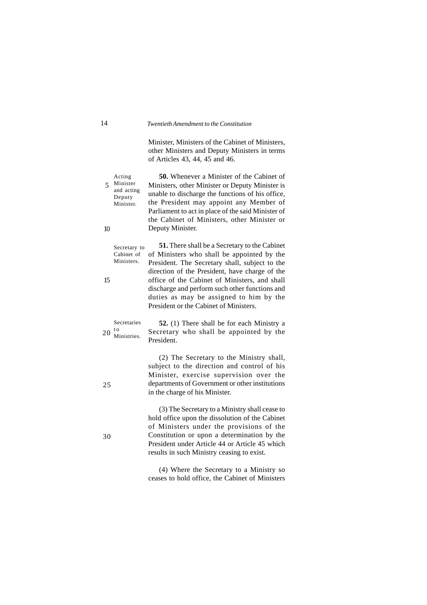Minister, Ministers of the Cabinet of Ministers, other Ministers and Deputy Ministers in terms of Articles 43, 44, 45 and 46.

**50.** Whenever a Minister of the Cabinet of Ministers, other Minister or Deputy Minister is unable to discharge the functions of his office, the President may appoint any Member of Parliament to act in place of the said Minister of the Cabinet of Ministers, other Minister or Deputy Minister. Acting Minister 5 and acting Deputy Minister.

**51.** There shall be a Secretary to the Cabinet of Ministers who shall be appointed by the President. The Secretary shall, subject to the direction of the President, have charge of the office of the Cabinet of Ministers, and shall discharge and perform such other functions and duties as may be assigned to him by the President or the Cabinet of Ministers. Secretary to Cabinet of Ministers.

**52.** (1) There shall be for each Ministry a Secretary who shall be appointed by the President. Secretaries t o 20 Ministries.

> (2) The Secretary to the Ministry shall, subject to the direction and control of his Minister, exercise supervision over the departments of Government or other institutions in the charge of his Minister.

> (3) The Secretary to a Ministry shall cease to hold office upon the dissolution of the Cabinet of Ministers under the provisions of the Constitution or upon a determination by the President under Article 44 or Article 45 which results in such Ministry ceasing to exist.

10

15

25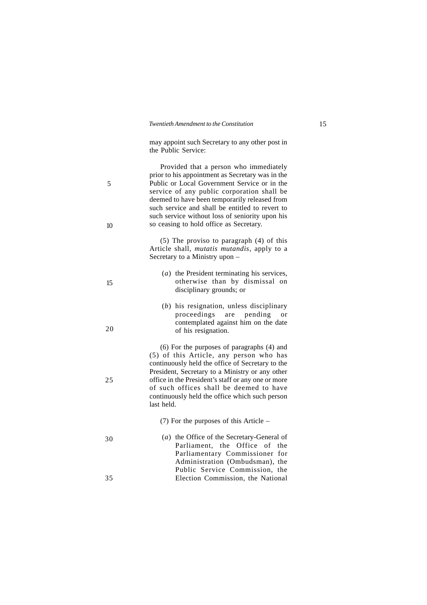may appoint such Secretary to any other post in the Public Service:

Provided that a person who immediately prior to his appointment as Secretary was in the Public or Local Government Service or in the service of any public corporation shall be deemed to have been temporarily released from such service and shall be entitled to revert to such service without loss of seniority upon his so ceasing to hold office as Secretary. (5) The proviso to paragraph (4) of this Article shall, *mutatis mutandis*, apply to a Secretary to a Ministry upon – (*a*) the President terminating his services, otherwise than by dismissal on disciplinary grounds; or (*b*) his resignation, unless disciplinary proceedings are pending or contemplated against him on the date of his resignation. (6) For the purposes of paragraphs (4) and (5) of this Article, any person who has continuously held the office of Secretary to the President, Secretary to a Ministry or any other office in the President's staff or any one or more of such offices shall be deemed to have continuously held the office which such person last held. (7) For the purposes of this Article – (*a*) the Office of the Secretary-General of Parliament, the Office of the Parliamentary Commissioner for Administration (Ombudsman), the 5 10 15 30

> Public Service Commission, the Election Commission, the National

25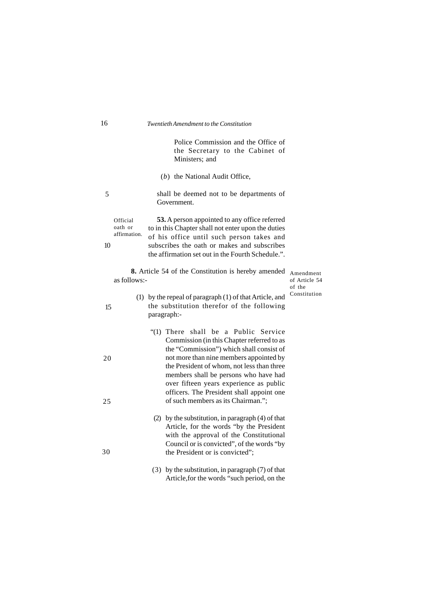Police Commission and the Office of the Secretary to the Cabinet of Ministers; and

(*b*) the National Audit Office,

shall be deemed not to be departments of Government. 5

**53.** A person appointed to any office referred to in this Chapter shall not enter upon the duties of his office until such person takes and subscribes the oath or makes and subscribes the affirmation set out in the Fourth Schedule.". Official oath or affirmation. 10

**8.** Article 54 of the Constitution is hereby amended Amendment as follows:-

of Article 54 of the Constitution

- (1) by the repeal of paragraph (1) of that Article, and the substitution therefor of the following paragraph:-
	- "(1) There shall be a Public Service Commission (in this Chapter referred to as the "Commission") which shall consist of not more than nine members appointed by the President of whom, not less than three members shall be persons who have had over fifteen years experience as public officers. The President shall appoint one of such members as its Chairman.";
		- (2) by the substitution, in paragraph (4) of that Article, for the words "by the President with the approval of the Constitutional Council or is convicted", of the words "by the President or is convicted";
	- (3) by the substitution, in paragraph (7) of that Article,for the words "such period, on the

15

- 
- 
- 

20

25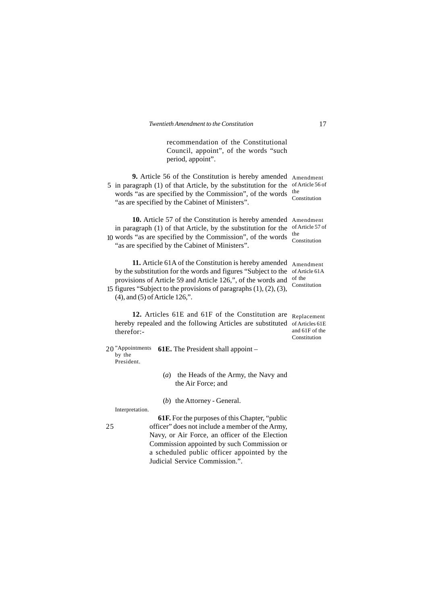recommendation of the Constitutional Council, appoint", of the words "such period, appoint".

**9.** Article 56 of the Constitution is hereby amended Amendment 5 in paragraph (1) of that Article, by the substitution for the of Article 56 of words "as are specified by the Commission", of the words "as are specified by the Cabinet of Ministers". the Constitution

**10.** Article 57 of the Constitution is hereby amended Amendment in paragraph (1) of that Article, by the substitution for the words "as are specified by the Commission", of the words 10 "as are specified by the Cabinet of Ministers".

11. Article 61A of the Constitution is hereby amended Amendment by the substitution for the words and figures "Subject to the of Article 61A provisions of Article 59 and Article 126,", of the words and 15 figures "Subject to the provisions of paragraphs  $(1)$ ,  $(2)$ ,  $(3)$ , (4), and (5) of Article 126,". of the Constitution

12. Articles 61E and 61F of the Constitution are Replacement hereby repealed and the following Articles are substituted of Articles 61E therefor:-

and 61F of the **Constitution** 

of Article 57 of

the Constitution

**61E.** The President shall appoint – 20"Appointments by the President.

- (*a*) the Heads of the Army, the Navy and the Air Force; and
- (*b*) the Attorney General.

Interpretation.

25

**61F.** For the purposes of this Chapter, "public officer" does not include a member of the Army, Navy, or Air Force, an officer of the Election Commission appointed by such Commission or a scheduled public officer appointed by the Judicial Service Commission.".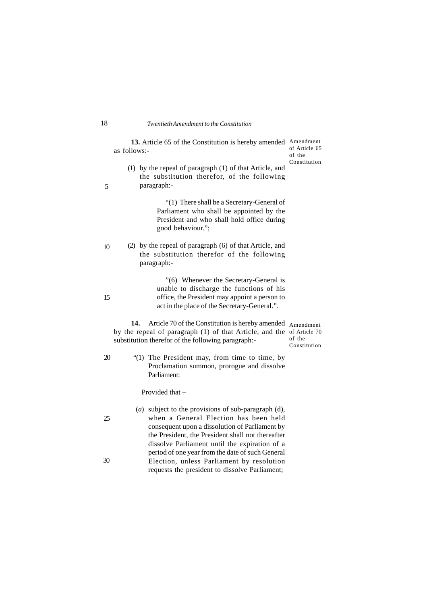13. Article 65 of the Constitution is hereby amended Amendment as follows: of Article 65 of the

Constitution

(1) by the repeal of paragraph (1) of that Article, and the substitution therefor, of the following paragraph:-

> "(1) There shall be a Secretary-General of Parliament who shall be appointed by the President and who shall hold office during good behaviour.";

(2) by the repeal of paragraph (6) of that Article, and the substitution therefor of the following paragraph:- 10

> "(6) Whenever the Secretary-General is unable to discharge the functions of his office, the President may appoint a person to act in the place of the Secretary-General.".

14. Article 70 of the Constitution is hereby amended Amendment by the repeal of paragraph (1) of that Article, and the of Article 70 substitution therefor of the following paragraph: of the

Constitution

20

25

30

15

"(1) The President may, from time to time, by Proclamation summon, prorogue and dissolve Parliament:

Provided that –

(*a*) subject to the provisions of sub-paragraph (d), when a General Election has been held consequent upon a dissolution of Parliament by the President, the President shall not thereafter dissolve Parliament until the expiration of a period of one year from the date of such General Election, unless Parliament by resolution requests the president to dissolve Parliament;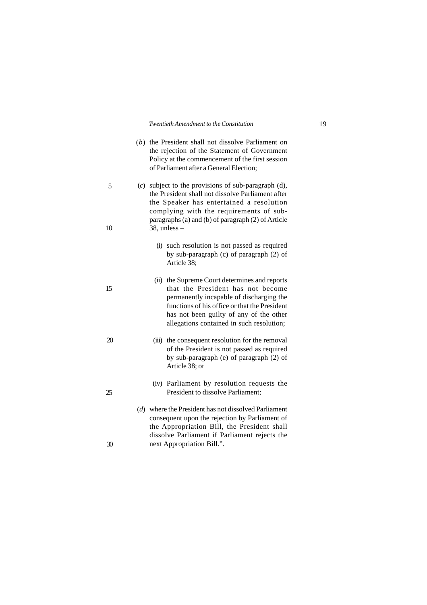| (b) the President shall not dissolve Parliament on |
|----------------------------------------------------|
| the rejection of the Statement of Government       |
| Policy at the commencement of the first session    |
| of Parliament after a General Election:            |

(*c*) subject to the provisions of sub-paragraph (d), the President shall not dissolve Parliament after the Speaker has entertained a resolution complying with the requirements of subparagraphs (a) and (b) of paragraph (2) of Article 38, unless –

- (i) such resolution is not passed as required by sub-paragraph (c) of paragraph (2) of Article 38;
- (ii) the Supreme Court determines and reports that the President has not become permanently incapable of discharging the functions of his office or that the President has not been guilty of any of the other allegations contained in such resolution;
- (iii) the consequent resolution for the removal of the President is not passed as required by sub-paragraph (e) of paragraph (2) of Article 38; or
	- (iv) Parliament by resolution requests the President to dissolve Parliament;
- (*d*) where the President has not dissolved Parliament consequent upon the rejection by Parliament of the Appropriation Bill, the President shall dissolve Parliament if Parliament rejects the next Appropriation Bill.".

20

15

5

10

25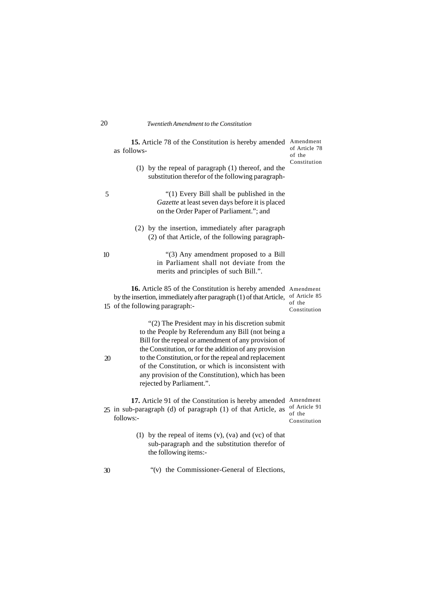|    | 15. Article 78 of the Constitution is hereby amended<br>as follows-                                                                                                                                                    | Amendment<br>of Article 78<br>of the                 |
|----|------------------------------------------------------------------------------------------------------------------------------------------------------------------------------------------------------------------------|------------------------------------------------------|
|    | (1) by the repeal of paragraph (1) thereof, and the<br>substitution therefor of the following paragraph-                                                                                                               | Constitution                                         |
| 5  | "(1) Every Bill shall be published in the<br>Gazette at least seven days before it is placed<br>on the Order Paper of Parliament."; and                                                                                |                                                      |
|    | (2) by the insertion, immediately after paragraph<br>(2) of that Article, of the following paragraph-                                                                                                                  |                                                      |
| 10 | "(3) Any amendment proposed to a Bill<br>in Parliament shall not deviate from the<br>merits and principles of such Bill.".                                                                                             |                                                      |
|    | 16. Article 85 of the Constitution is hereby amended<br>by the insertion, immediately after paragraph (1) of that Article,<br>15 of the following paragraph:-                                                          | Amendment<br>of Article 85<br>of the<br>Constitution |
|    | "(2) The President may in his discretion submit<br>to the People by Referendum any Bill (not being a<br>Bill for the repeal or amendment of any provision of<br>the Constitution, or for the addition of any provision |                                                      |
| 20 | to the Constitution, or for the repeal and replacement<br>of the Constitution, or which is inconsistent with<br>any provision of the Constitution), which has been<br>rejected by Parliament.".                        |                                                      |

17. Article 91 of the Constitution is hereby amended Amendment in sub-paragraph (d) of paragraph (1) of that Article, as  $\frac{1}{2}$  of Article 91 follows:- 25 in sub-paragraph (d) of paragraph (1) of that Article, as  $\frac{d}{dt}$  of the Constitution

- (1) by the repeal of items (v), (va) and (vc) of that sub-paragraph and the substitution therefor of the following items:-
	- "(v) the Commissioner-General of Elections,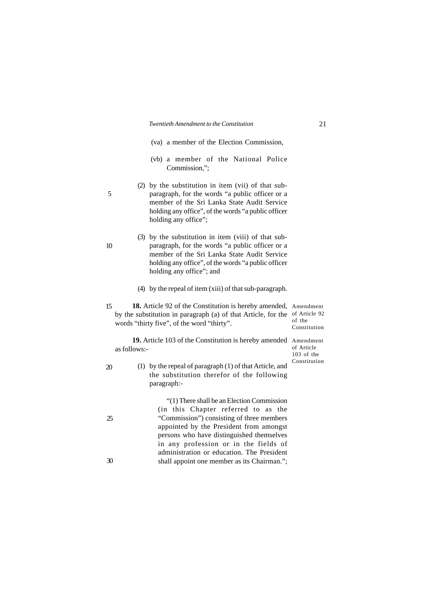(va) a member of the Election Commission,

- (vb) a member of the National Police Commission,";
- (2) by the substitution in item (vii) of that subparagraph, for the words "a public officer or a member of the Sri Lanka State Audit Service holding any office", of the words "a public officer holding any office";
- (3) by the substitution in item (viii) of that subparagraph, for the words "a public officer or a member of the Sri Lanka State Audit Service holding any office", of the words "a public officer holding any office"; and
- (4) by the repeal of item (xiii) of that sub-paragraph.
- 18. Article 92 of the Constitution is hereby amended, Amendment by the substitution in paragraph (a) of that Article, for the of Article 92 words "thirty five", of the word "thirty". 15

of the Constitution

19. Article 103 of the Constitution is hereby amended Amendment as follows:-

of Article 103 of the Constitution

20

25

30

(1) by the repeal of paragraph (1) of that Article, and the substitution therefor of the following paragraph:-

> "(1) There shall be an Election Commission (in this Chapter referred to as the "Commission") consisting of three members appointed by the President from amongst persons who have distinguished themselves in any profession or in the fields of administration or education. The President shall appoint one member as its Chairman.";

10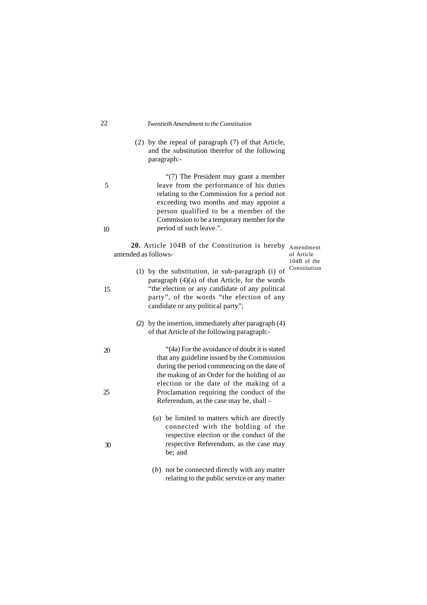#### 22 *Twentieth Amendment to the Constitution*

(2) by the repeal of paragraph (7) of that Article, and the substitution therefor of the following paragraph:-

> "(7) The President may grant a member leave from the performance of his duties relating to the Commission for a period not exceeding two months and may appoint a person qualified to be a member of the Commission to be a temporary member for the period of such leave.".

**20.** Article 104B of the Constitution is hereby Amendment amended as follows-

of Article 104B of the Constitution

- (1) by the substitution, in sub-paragraph (i) of paragraph (4)(a) of that Article, for the words "the election or any candidate of any political party", of the words "the election of any candidate or any political party";
- (2) by the insertion, immediately after paragraph (4) of that Article of the following paragraph:-

"(4a) For the avoidance of doubt it is stated that any guideline issued by the Commission during the period commencing on the date of the making of an Order for the holding of an election or the date of the making of a Proclamation requiring the conduct of the Referendum, as the case may be, shall –

- (*a*) be limited to matters which are directly connected with the holding of the respective election or the conduct of the respective Referendum, as the case may be; and
- (*b*) not be connected directly with any matter relating to the public service or any matter

10

5

15

20

25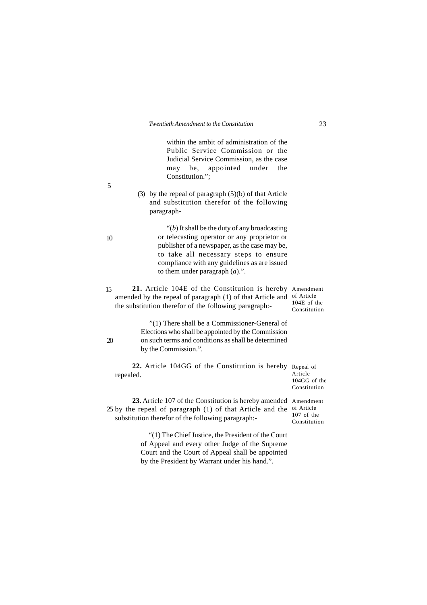within the ambit of administration of the Public Service Commission or the Judicial Service Commission, as the case may be, appointed under the Constitution.";

(3) by the repeal of paragraph (5)(b) of that Article and substitution therefor of the following paragraph-

> "(*b*) It shall be the duty of any broadcasting or telecasting operator or any proprietor or publisher of a newspaper, as the case may be, to take all necessary steps to ensure compliance with any guidelines as are issued to them under paragraph (*a*).".

**21.** Article 104E of the Constitution is hereby Amendment amended by the repeal of paragraph (1) of that Article and of Article the substitution therefor of the following paragraph:- 104E of the Constitution 15

> "(1) There shall be a Commissioner-General of Elections who shall be appointed by the Commission on such terms and conditions as shall be determined by the Commission.".

**22.** Article 104GG of the Constitution is hereby Repeal of repealed.

Article 104GG of the Constitution

23. Article 107 of the Constitution is hereby amended Amendment 25 by the repeal of paragraph (1) of that Article and the  $\frac{1}{2}$  of Article substitution therefor of the following paragraph:- Constitution

> "(1) The Chief Justice, the President of the Court of Appeal and every other Judge of the Supreme Court and the Court of Appeal shall be appointed by the President by Warrant under his hand.".

107 of the

5

10

 $\mathfrak{D}$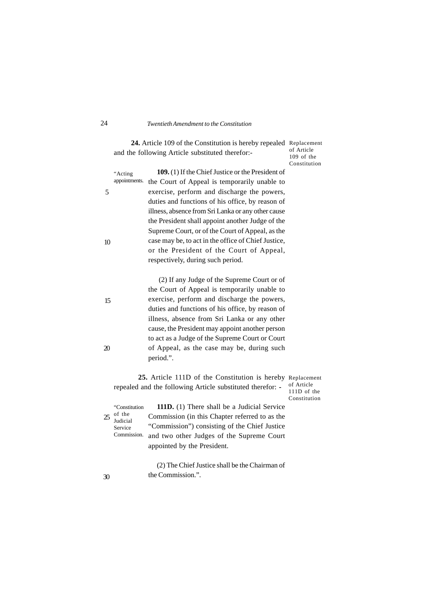24. Article 109 of the Constitution is hereby repealed Replacement and the following Article substituted therefor:-

of Article 109 of the Constitution

|    | "Acting       | 109. (1) If the Chief Justice or the President of   |
|----|---------------|-----------------------------------------------------|
|    | appointments. | the Court of Appeal is temporarily unable to        |
| 5  |               | exercise, perform and discharge the powers,         |
|    |               | duties and functions of his office, by reason of    |
|    |               | illness, absence from Sri Lanka or any other cause  |
|    |               | the President shall appoint another Judge of the    |
|    |               | Supreme Court, or of the Court of Appeal, as the    |
| 10 |               | case may be, to act in the office of Chief Justice, |
|    |               | or the President of the Court of Appeal,            |
|    |               | respectively, during such period.                   |
|    |               |                                                     |

 (2) If any Judge of the Supreme Court or of the Court of Appeal is temporarily unable to exercise, perform and discharge the powers, duties and functions of his office, by reason of illness, absence from Sri Lanka or any other cause, the President may appoint another person to act as a Judge of the Supreme Court or Court of Appeal, as the case may be, during such period.".

**25.** Article 111D of the Constitution is hereby Replacement repealed and the following Article substituted therefor: of Article

111D of the Constitution

"Constitution  $25$  of the Judicial Service

**111D.** (1) There shall be a Judicial Service Commission (in this Chapter referred to as the "Commission") consisting of the Chief Justice Commission. and two other Judges of the Supreme Court appointed by the President.

> (2) The Chief Justice shall be the Chairman of the Commission.".

30

15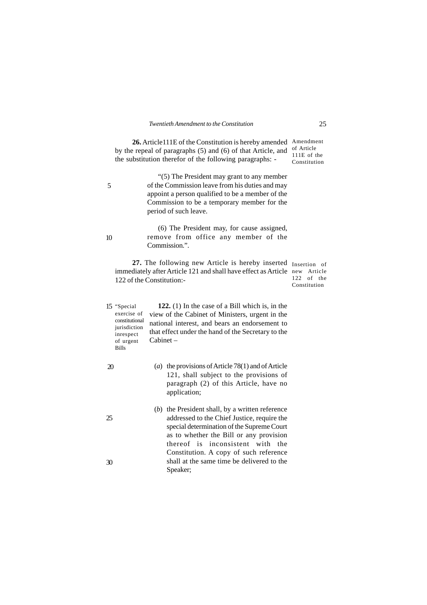**26.** Article111E of the Constitution is hereby amended Amendment by the repeal of paragraphs (5) and (6) of that Article, and the substitution therefor of the following paragraphs: of Article 111E of the Constitution

> "(5) The President may grant to any member of the Commission leave from his duties and may appoint a person qualified to be a member of the Commission to be a temporary member for the period of such leave.

> (6) The President may, for cause assigned, remove from office any member of the Commission.".

27. The following new Article is hereby inserted Insertion of immediately after Article 121 and shall have effect as Article new Article 122 of the Constitution:-

 $122$  of the Constitution

- **122.** (1) In the case of a Bill which is, in the view of the Cabinet of Ministers, urgent in the national interest, and bears an endorsement to that effect under the hand of the Secretary to the Cabinet – 15 "Special exercise of constitutional jurisdiction inrespect of urgent Bills
	- (*a*) the provisions of Article 78(1) and of Article 121, shall subject to the provisions of paragraph (2) of this Article, have no application;
	- (*b*) the President shall, by a written reference addressed to the Chief Justice, require the special determination of the Supreme Court as to whether the Bill or any provision thereof is inconsistent with the Constitution. A copy of such reference shall at the same time be delivered to the Speaker;

5

10

20

25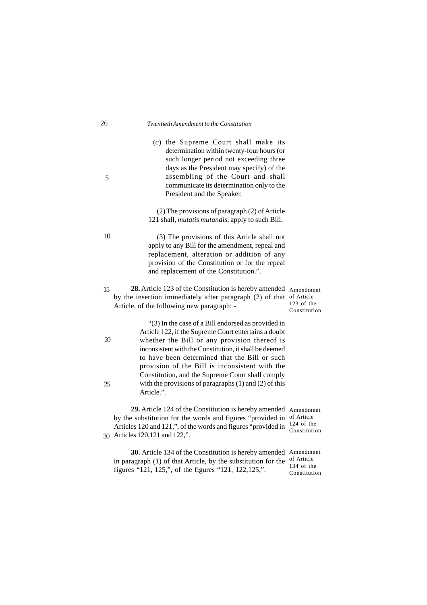#### 26 *Twentieth Amendment to the Constitution*

(*c*) the Supreme Court shall make its determination within twenty-four hours (or such longer period not exceeding three days as the President may specify) of the assembling of the Court and shall communicate its determination only to the President and the Speaker.

### (2) The provisions of paragraph (2) of Article 121 shall, *mutatis mutandis*, apply to such Bill.

(3) The provisions of this Article shall not apply to any Bill for the amendment, repeal and replacement, alteration or addition of any provision of the Constitution or for the repeal and replacement of the Constitution.".

28. Article 123 of the Constitution is hereby amended Amendment by the insertion immediately after paragraph (2) of that of Article Article, of the following new paragraph: - 123 of the Constitution 15

> "(3) In the case of a Bill endorsed as provided in Article 122, if the Supreme Court entertains a doubt whether the Bill or any provision thereof is inconsistent with the Constitution, it shall be deemed to have been determined that the Bill or such provision of the Bill is inconsistent with the Constitution, and the Supreme Court shall comply with the provisions of paragraphs (1) and (2) of this Article.".

**29.** Article 124 of the Constitution is hereby amended Amendment by the substitution for the words and figures "provided in of Article Articles 120 and 121,", of the words and figures "provided in  $\frac{124 \text{ of the}}{Constant}$ Articles 120,121 and 122,". 30Constitution

**30.** Article 134 of the Constitution is hereby amended Amendment in paragraph (1) of that Article, by the substitution for the  $\frac{1}{2}$  of Article figures "121, 125,", of the figures "121, 122,125,". 134 of the Constitution

5

10

20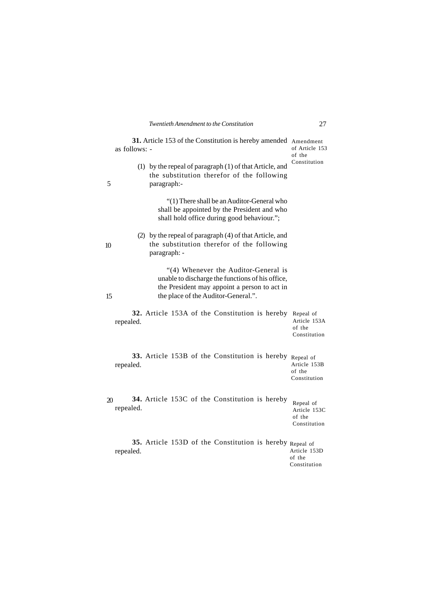|                | 31. Article 153 of the Constitution is hereby amended Amendment<br>as follows: -                                                                                                | of Article 153<br>of the                            |
|----------------|---------------------------------------------------------------------------------------------------------------------------------------------------------------------------------|-----------------------------------------------------|
| 5              | (1) by the repeal of paragraph $(1)$ of that Article, and<br>the substitution therefor of the following<br>paragraph:-                                                          | Constitution                                        |
|                | "(1) There shall be an Auditor-General who<br>shall be appointed by the President and who<br>shall hold office during good behaviour.";                                         |                                                     |
| 10             | (2) by the repeal of paragraph (4) of that Article, and<br>the substitution therefor of the following<br>paragraph: -                                                           |                                                     |
| 15             | "(4) Whenever the Auditor-General is<br>unable to discharge the functions of his office,<br>the President may appoint a person to act in<br>the place of the Auditor-General.". |                                                     |
|                | 32. Article 153A of the Constitution is hereby Repeal of<br>repealed.                                                                                                           | Article 153A<br>of the<br>Constitution              |
|                | 33. Article 153B of the Constitution is hereby Repeal of<br>repealed.                                                                                                           | Article 153B<br>of the<br>Constitution              |
| $\mathfrak{D}$ | 34. Article 153C of the Constitution is hereby<br>repealed.                                                                                                                     | Repeal of<br>Article 153C<br>of the<br>Constitution |
|                | 35. Article 153D of the Constitution is hereby Repeal of<br>repealed.                                                                                                           | Article 153D<br>of the<br>Constitution              |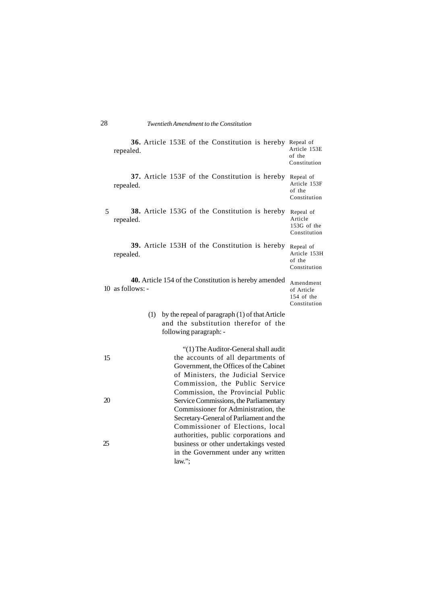|    | 36. Article 153E of the Constitution is hereby Repeal of<br>repealed.                                                                                                                                                             | Article 153E<br>of the<br>Constitution                |
|----|-----------------------------------------------------------------------------------------------------------------------------------------------------------------------------------------------------------------------------------|-------------------------------------------------------|
|    | 37. Article 153F of the Constitution is hereby<br>repealed.                                                                                                                                                                       | Repeal of<br>Article 153F<br>of the<br>Constitution   |
| 5  | <b>38.</b> Article 153G of the Constitution is hereby<br>repealed.                                                                                                                                                                | Repeal of<br>Article<br>153G of the<br>Constitution   |
|    | <b>39.</b> Article 153H of the Constitution is hereby<br>repealed.                                                                                                                                                                | Repeal of<br>Article 153H<br>of the<br>Constitution   |
|    | <b>40.</b> Article 154 of the Constitution is hereby amended<br>$10$ as follows: -                                                                                                                                                | Amendment<br>of Article<br>154 of the<br>Constitution |
|    | by the repeal of paragraph (1) of that Article<br>(1)<br>and the substitution therefor of the<br>following paragraph: -                                                                                                           |                                                       |
| 15 | "(1) The Auditor-General shall audit<br>the accounts of all departments of<br>Government, the Offices of the Cabinet<br>of Ministers, the Judicial Service<br>Commission, the Public Service<br>Commission, the Provincial Public |                                                       |

Service Commissions, the Parliamentary Commissioner for Administration, the Secretary-General of Parliament and the Commissioner of Elections, local authorities, public corporations and business or other undertakings vested in the Government under any written

law.";

20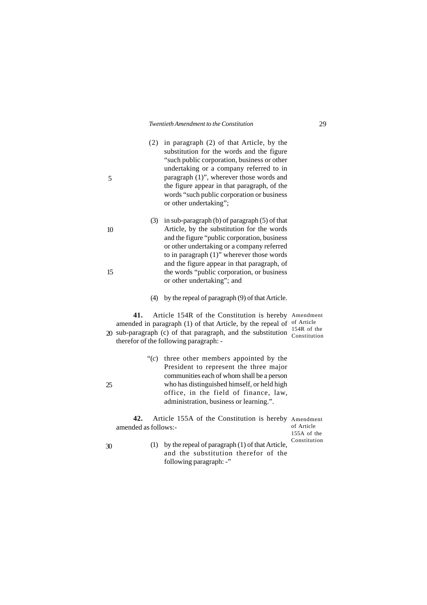- (2) in paragraph (2) of that Article, by the substitution for the words and the figure "such public corporation, business or other undertaking or a company referred to in paragraph (1)", wherever those words and the figure appear in that paragraph, of the words "such public corporation or business or other undertaking";
- (3) in sub-paragraph (b) of paragraph (5) of that Article, by the substitution for the words and the figure "public corporation, business or other undertaking or a company referred to in paragraph (1)" wherever those words and the figure appear in that paragraph, of the words "public corporation, or business or other undertaking"; and
- (4) by the repeal of paragraph (9) of that Article.

**41.** Article 154R of the Constitution is hereby Amendment amended in paragraph  $(1)$  of that Article, by the repeal of  $\sigma$ <sup>of Article</sup> sub-paragraph (c) of that paragraph, and the substitution  $\frac{154R}{\text{Constitution}}$ therefor of the following paragraph: -  $\alpha$  sub-paragraph (c) of that paragraph, and the substitution  $\frac{1540 \text{ N}}{\text{Construction}}$ 

> "(*c*) three other members appointed by the President to represent the three major communities each of whom shall be a person who has distinguished himself, or held high office, in the field of finance, law, administration, business or learning.".

**42.** Article 155A of the Constitution is hereby Amendment amended as follows:-

of Article 155A of the Constitution

(1) by the repeal of paragraph (1) of that Article, and the substitution therefor of the following paragraph: -"

25

30

5

10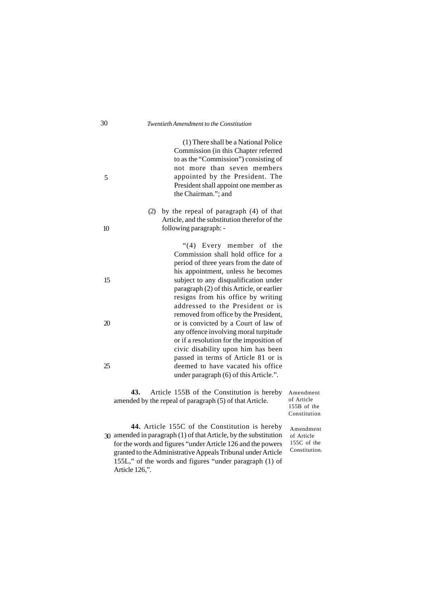(1) There shall be a National Police Commission (in this Chapter referred to as the "Commission") consisting of not more than seven members appointed by the President. The President shall appoint one member as the Chairman."; and

(2) by the repeal of paragraph (4) of that Article, and the substitution therefor of the following paragraph: -

> "(4) Every member of the Commission shall hold office for a period of three years from the date of his appointment, unless he becomes subject to any disqualification under paragraph (2) of this Article, or earlier resigns from his office by writing addressed to the President or is removed from office by the President, or is convicted by a Court of law of any offence involving moral turpitude or if a resolution for the imposition of civic disability upon him has been passed in terms of Article 81 or is deemed to have vacated his office under paragraph (6) of this Article.".

**43.** Article 155B of the Constitution is hereby amended by the repeal of paragraph (5) of that Article.

Amendment of Article 155B of the Constitution

**44.** Article 155C of the Constitution is hereby amended in paragraph (1) of that Article, by the substitution 30for the words and figures "under Article 126 and the powers granted to the Administrative Appeals Tribunal under Article 155L," of the words and figures "under paragraph (1) of Article 126,".

Amendment of Article 155C of the Constitution.

5

10

15

20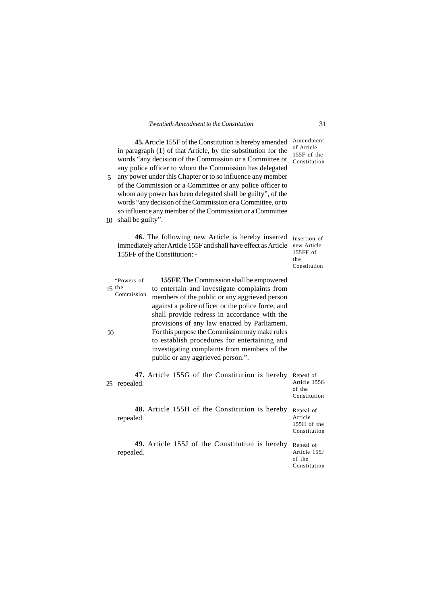**45.** Article 155F of the Constitution is hereby amended in paragraph (1) of that Article, by the substitution for the  $m$  pangraph (1) or that ratice, by the substitution for the  $155F$  of the words "any decision of the Commission or a Committee or  $\frac{155F}{\text{Constitution}}$ any police officer to whom the Commission has delegated any power under this Chapter or to so influence any member 5 of the Commission or a Committee or any police officer to whom any power has been delegated shall be guilty", of the words "any decision of the Commission or a Committee, or to so influence any member of the Commission or a Committee shall be guilty". 10 Amendment of Article<br>155F of the Constitution

**46.** The following new Article is hereby inserted Insertion of immediately after Article 155F and shall have effect as Article new Article 155FF of the Constitution: **-**

155FF of the Constitution

**155FF.** The Commission shall be empowered to entertain and investigate complaints from members of the public or any aggrieved person against a police officer or the police force, and shall provide redress in accordance with the provisions of any law enacted by Parliament. For this purpose the Commission may make rules to establish procedures for entertaining and investigating complaints from members of the public or any aggrieved person.". "Powers of  $15$  the Commission 20

| 25 | repealed. |  | 47. Article 155G of the Constitution is hereby |  | Repeal of<br>Article 155G<br>of the<br>Constitution |
|----|-----------|--|------------------------------------------------|--|-----------------------------------------------------|
|    | repealed. |  | 48. Article 155H of the Constitution is hereby |  | Repeal of<br>Article<br>155H of the<br>Constitution |
|    | repealed. |  | 49. Article 155J of the Constitution is hereby |  | Repeal of<br>Article 155J<br>of the<br>Constitution |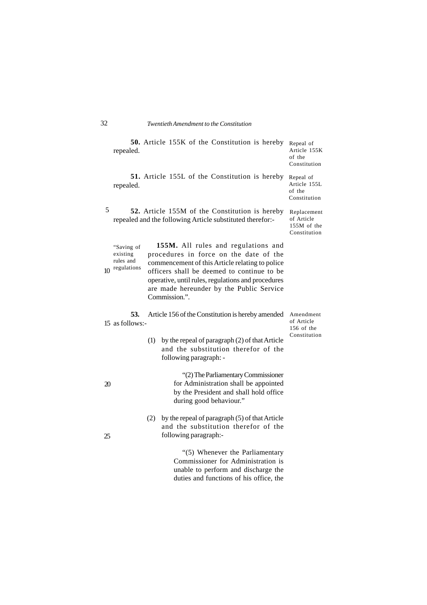| repealed.                                                | 50. Article 155K of the Constitution is hereby                                                                                                                                                                                                                                                    | Repeal of<br>Article 155K<br>of the<br>Constitution      |
|----------------------------------------------------------|---------------------------------------------------------------------------------------------------------------------------------------------------------------------------------------------------------------------------------------------------------------------------------------------------|----------------------------------------------------------|
| repealed.                                                | 51. Article 155L of the Constitution is hereby                                                                                                                                                                                                                                                    | Repeal of<br>Article 155L<br>of the<br>Constitution      |
| 5                                                        | 52. Article 155M of the Constitution is hereby<br>repealed and the following Article substituted therefor:-                                                                                                                                                                                       | Replacement<br>of Article<br>155M of the<br>Constitution |
| "Saving of<br>existing<br>rules and<br>regulations<br>10 | 155M. All rules and regulations and<br>procedures in force on the date of the<br>commencement of this Article relating to police<br>officers shall be deemed to continue to be<br>operative, until rules, regulations and procedures<br>are made hereunder by the Public Service<br>Commission.". |                                                          |
| 53.<br>15 as follows:-                                   | Article 156 of the Constitution is hereby amended                                                                                                                                                                                                                                                 | Amendment<br>of Article<br>156 of the                    |
|                                                          | (1) by the repeal of paragraph (2) of that Article<br>and the substitution therefor of the<br>following paragraph: -                                                                                                                                                                              | Constitution                                             |
| 20                                                       | "(2) The Parliamentary Commissioner<br>for Administration shall be appointed<br>by the President and shall hold office<br>during good behaviour."                                                                                                                                                 |                                                          |
| 25                                                       | by the repeal of paragraph (5) of that Article<br>(2)<br>and the substitution therefor of the<br>following paragraph:-                                                                                                                                                                            |                                                          |
|                                                          | "(5) Whenever the Parliamentary<br>Commissioner for Administration is<br>unable to perform and discharge the<br>duties and functions of his office, the                                                                                                                                           |                                                          |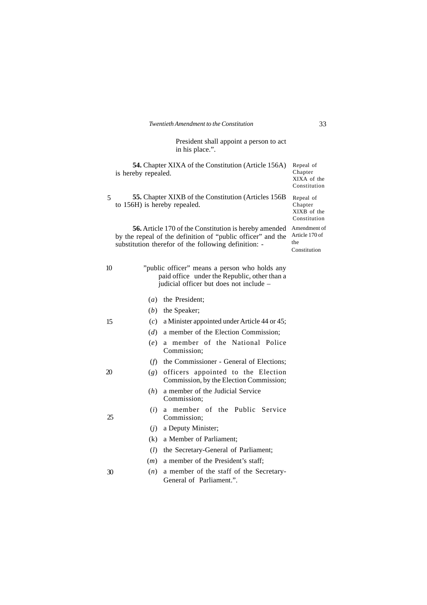President shall appoint a person to act in his place.".

**54.** Chapter XIXA of the Constitution (Article 156A) is hereby repealed.

**55.** Chapter XIXB of the Constitution (Articles 156B to 156H) is hereby repealed. 5

**56.** Article 170 of the Constitution is hereby amended Amendment of by the repeal of the definition of "public officer" and the Article 170 of substitution therefor of the following definition: -

Constitution Repeal of Chapter XIXB of the Constitution

Repeal of Chapter XIXA of the

the Constitution

| 10 | "public officer" means a person who holds any<br>paid office under the Republic, other than a<br>judicial officer but does not include – |  |
|----|------------------------------------------------------------------------------------------------------------------------------------------|--|
|    | the President:<br>$\left(a\right)$                                                                                                       |  |
|    | (b)<br>the Speaker;                                                                                                                      |  |
| 15 | $(c)$ a Minister appointed under Article 44 or 45;                                                                                       |  |
|    | $(d)$ a member of the Election Commission;                                                                                               |  |
|    | a member of the National Police<br>(e)<br>Commission:                                                                                    |  |
|    | the Commissioner - General of Elections;<br>(f)                                                                                          |  |
| 20 | officers appointed to the Election<br>(g)<br>Commission, by the Election Commission;                                                     |  |
|    | a member of the Judicial Service<br>(h)<br>Commission;                                                                                   |  |
| 25 | a member of the Public Service<br>(i)<br>Commission;                                                                                     |  |
|    | a Deputy Minister;<br>(i)                                                                                                                |  |
|    | (k)<br>a Member of Parliament;                                                                                                           |  |
|    | the Secretary-General of Parliament;<br>(l)                                                                                              |  |
|    | $(m)$ a member of the President's staff;                                                                                                 |  |
| 30 | a member of the staff of the Secretary-<br>(n)<br>General of Parliament.".                                                               |  |
|    |                                                                                                                                          |  |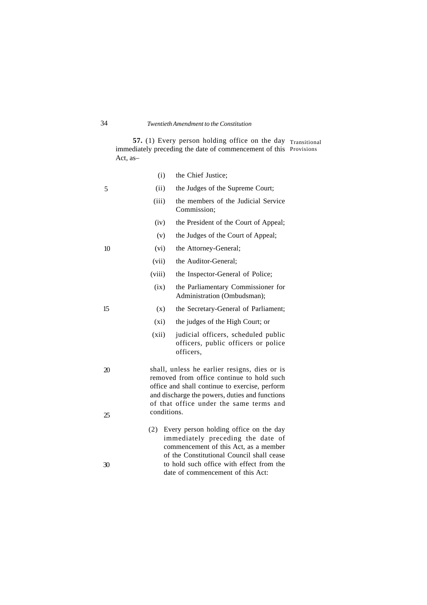**57.** (1) Every person holding office on the day immediately preceding the date of commencement of this Act*,* as– Transitional Provisions

|          | (i)<br>the Chief Justice;                                                                                                                                                                                                                               |
|----------|---------------------------------------------------------------------------------------------------------------------------------------------------------------------------------------------------------------------------------------------------------|
| 5        | (ii)<br>the Judges of the Supreme Court;                                                                                                                                                                                                                |
|          | (iii)<br>the members of the Judicial Service<br>Commission:                                                                                                                                                                                             |
|          | the President of the Court of Appeal;<br>(iv)                                                                                                                                                                                                           |
|          | the Judges of the Court of Appeal;<br>(v)                                                                                                                                                                                                               |
| 10       | (vi)<br>the Attorney-General;                                                                                                                                                                                                                           |
|          | (vii)<br>the Auditor-General;                                                                                                                                                                                                                           |
|          | (viii)<br>the Inspector-General of Police;                                                                                                                                                                                                              |
|          | (ix)<br>the Parliamentary Commissioner for<br>Administration (Ombudsman);                                                                                                                                                                               |
| 15       | the Secretary-General of Parliament;<br>(x)                                                                                                                                                                                                             |
|          | (xi)<br>the judges of the High Court; or                                                                                                                                                                                                                |
|          | (xii)<br>judicial officers, scheduled public<br>officers, public officers or police<br>officers,                                                                                                                                                        |
| 20<br>25 | shall, unless he earlier resigns, dies or is<br>removed from office continue to hold such<br>office and shall continue to exercise, perform<br>and discharge the powers, duties and functions<br>of that office under the same terms and<br>conditions. |
|          | Every person holding office on the day<br>(2)<br>immediately preceding the date of<br>commencement of this Act, as a member<br>of the Constitutional Council shall cease<br>to hold such office with effect from the                                    |
| 30       | date of commencement of this Act:                                                                                                                                                                                                                       |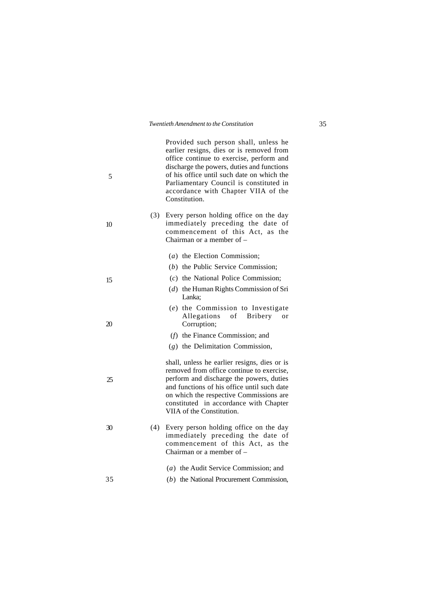| 5  |     | Provided such person shall, unless he<br>earlier resigns, dies or is removed from<br>office continue to exercise, perform and<br>discharge the powers, duties and functions<br>of his office until such date on which the<br>Parliamentary Council is constituted in<br>accordance with Chapter VIIA of the<br>Constitution. |
|----|-----|------------------------------------------------------------------------------------------------------------------------------------------------------------------------------------------------------------------------------------------------------------------------------------------------------------------------------|
| 10 | (3) | Every person holding office on the day<br>immediately preceding the date of<br>commencement of this Act, as the<br>Chairman or a member of -                                                                                                                                                                                 |
|    |     | $(a)$ the Election Commission;                                                                                                                                                                                                                                                                                               |
|    |     | $(b)$ the Public Service Commission;                                                                                                                                                                                                                                                                                         |
| 15 |     | $(c)$ the National Police Commission;                                                                                                                                                                                                                                                                                        |
|    |     | $(d)$ the Human Rights Commission of Sri<br>Lanka;                                                                                                                                                                                                                                                                           |
| 20 |     | (e) the Commission to Investigate<br>Allegations of Bribery<br>or<br>Corruption;                                                                                                                                                                                                                                             |
|    |     | $(f)$ the Finance Commission; and                                                                                                                                                                                                                                                                                            |
|    |     | $(g)$ the Delimitation Commission,                                                                                                                                                                                                                                                                                           |
| 25 |     | shall, unless he earlier resigns, dies or is<br>removed from office continue to exercise,<br>perform and discharge the powers, duties<br>and functions of his office until such date<br>on which the respective Commissions are<br>constituted in accordance with Chapter<br>VIIA of the Constitution.                       |
| 30 | (4) | Every person holding office on the day<br>immediately preceding the date of<br>commencement of this Act, as the<br>Chairman or a member of -                                                                                                                                                                                 |
|    |     | (a) the Audit Service Commission; and                                                                                                                                                                                                                                                                                        |
| 35 |     | $(b)$ the National Procurement Commission,                                                                                                                                                                                                                                                                                   |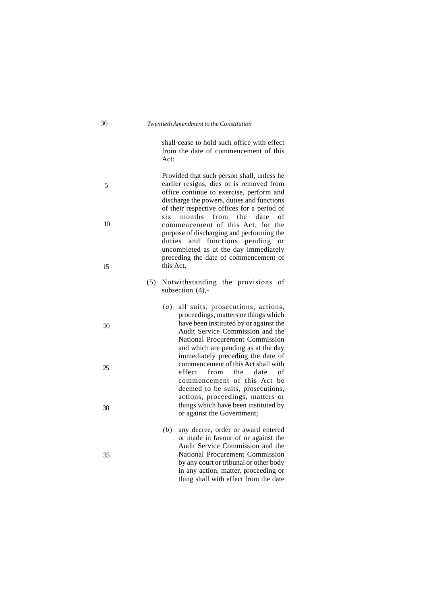shall cease to hold such office with effect from the date of commencement of this Act:

Provided that such person shall, unless he earlier resigns, dies or is removed from office continue to exercise, perform and discharge the powers, duties and functions of their respective offices for a period of<br>six months from the date of six months from the date of commencement of this Act, for the purpose of discharging and performing the duties and functions pending or uncompleted as at the day immediately preceding the date of commencement of this Act. 5 10 15

- (5) Notwithstanding the provisions of subsection (4),-
- (*a*) all suits, prosecutions, actions, proceedings, matters or things which have been instituted by or against the Audit Service Commission and the National Procurement Commission and which are pending as at the day immediately preceding the date of commencement of this Act shall with effect from the date of commencement of this Act be deemed to be suits, prosecutions, actions, proceedings, matters or things which have been instituted by or against the Government;
	- (*b*) any decree, order or award entered or made in favour of or against the Audit Service Commission and the National Procurement Commission by any court or tribunal or other body in any action, matter, proceeding or thing shall with effect from the date

20

25

30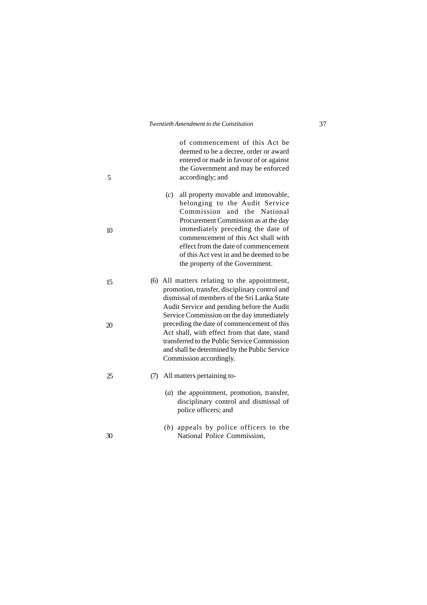| 5  |     | of commencement of this Act be<br>deemed to be a decree, order or award<br>entered or made in favour of or against<br>the Government and may be enforced<br>accordingly; and                                                                                                                                                                          |
|----|-----|-------------------------------------------------------------------------------------------------------------------------------------------------------------------------------------------------------------------------------------------------------------------------------------------------------------------------------------------------------|
| 10 |     | all property movable and immovable,<br>(c)<br>belonging to the Audit Service<br>Commission and the National<br>Procurement Commission as at the day<br>immediately preceding the date of<br>commencement of this Act shall with<br>effect from the date of commencement<br>of this Act vest in and be deemed to be<br>the property of the Government. |
| 15 |     | (6) All matters relating to the appointment,<br>promotion, transfer, disciplinary control and<br>dismissal of members of the Sri Lanka State<br>Audit Service and pending before the Audit<br>Service Commission on the day immediately                                                                                                               |
| 20 |     | preceding the date of commencement of this<br>Act shall, with effect from that date, stand<br>transferred to the Public Service Commission<br>and shall be determined by the Public Service<br>Commission accordingly.                                                                                                                                |
| 25 | (7) | All matters pertaining to-                                                                                                                                                                                                                                                                                                                            |
|    |     | (a) the appointment, promotion, transfer,<br>disciplinary control and dismissal of<br>police officers; and                                                                                                                                                                                                                                            |
| 30 |     | $(b)$ appeals by police officers to the<br>National Police Commission,                                                                                                                                                                                                                                                                                |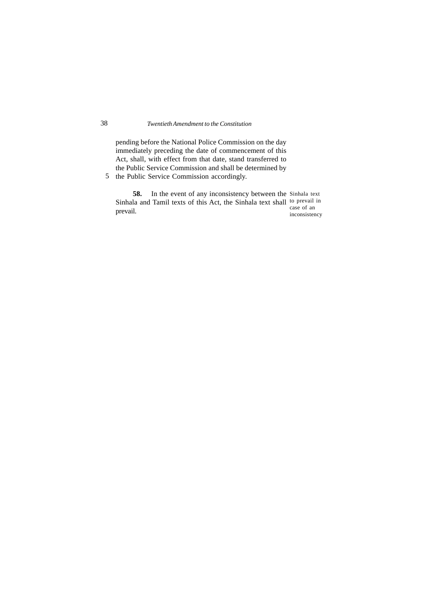pending before the National Police Commission on the day immediately preceding the date of commencement of this Act, shall, with effect from that date, stand transferred to the Public Service Commission and shall be determined by

5 the Public Service Commission accordingly.

**58.** In the event of any inconsistency between the Sinhala text Sinhala and Tamil texts of this Act, the Sinhala text shall to prevail in prevail. case of an

inconsistency